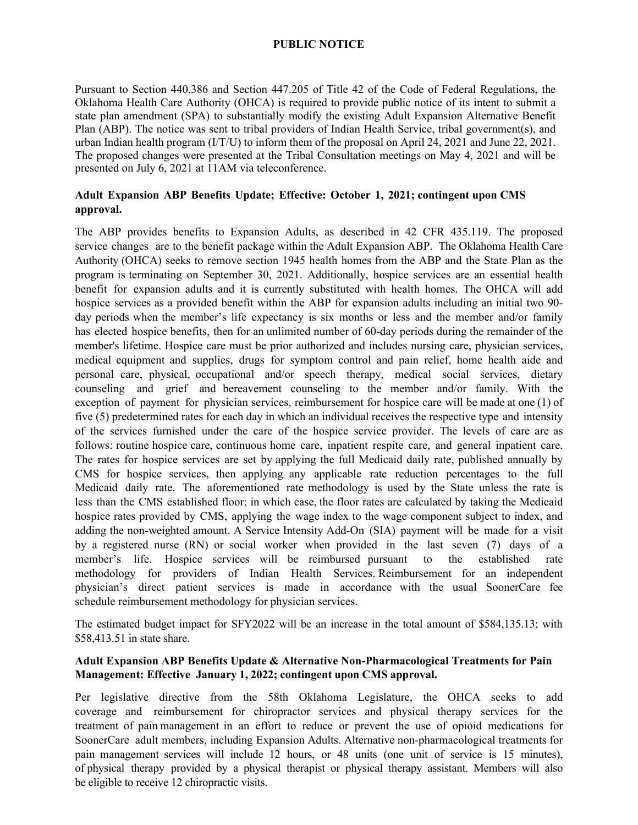## **PUBLIC NOTICE**

Pursuant to Section 440.386 and Section 447.205 of Title 42 of the Code of Federal Regulations, the Oklahoma Health Care Authority (OHCA) is required to provide public notice of its intent to submit a state plan amendment (SPA) to substantially modify the existing Adult Expansion Alternative Benefit Plan (ABP). The notice was sent to tribal providers of Indian Health Service, tribal government(s), and urban Indian health program (I/T/U) to inform them of the proposal on April 24, 2021 and June 22, 2021. The proposed changes were presented at the Tribal Consultation meetings on May 4, 2021 and will be presented on July 6, 2021 at 11AM via teleconference.

## **Adult Expansion ABP Benefits Update; Effective: October 1, 2021; contingent upon CMS approval.**

The ABP provides benefits to Expansion Adults, as described in 42 CFR 435.119. The proposed service changes are to the benefit package within the Adult Expansion ABP. The Oklahoma Health Care Authority (OHCA) seeks to remove section 1945 health homes from the ABP and the State Plan as the program is terminating on September 30, 2021. Additionally, hospice services are an essential health benefit for expansion adults and it is currently substituted with health homes. The OHCA will add hospice services as a provided benefit within the ABP for expansion adults including an initial two 90 day periods when the member's life expectancy is six months or less and the member and/or family has elected hospice benefits, then for an unlimited number of 60-day periods during the remainder of the member's lifetime. Hospice care must be prior authorized and includes nursing care, physician services, medical equipment and supplies, drugs for symptom control and pain relief, home health aide and personal care, physical, occupational and/or speech therapy, medical social services, dietary counseling and grief and bereavement counseling to the member and/or family. With the exception of payment for physician services, reimbursement for hospice care will be made at one (1) of five (5) predetermined rates for each day in which an individual receives the respective type and intensity of the services furnished under the care of the hospice service provider. The levels of care are as follows: routine hospice care, continuous home care, inpatient respite care, and general inpatient care. The rates for hospice services are set by applying the full Medicaid daily rate, published annually by CMS for hospice services, then applying any applicable rate reduction percentages to the full Medicaid daily rate. The aforementioned rate methodology is used by the State unless the rate is less than the CMS established floor; in which case, the floor rates are calculated by taking the Medicaid hospice rates provided by CMS, applying the wage index to the wage component subject to index, and adding the non-weighted amount. A Service Intensity Add-On (SIA) payment will be made for a visit by a registered nurse (RN) or social worker when provided in the last seven (7) days of a member's life. Hospice services will be reimbursed pursuant to the established rate methodology for providers of Indian Health Services. Reimbursement for an independent physician's direct patient services is made in accordance with the usual SoonerCare fee schedule reimbursement methodology for physician services.

The estimated budget impact for SFY2022 will be an increase in the total amount of \$584,135.13; with \$58,413.51 in state share.

## **Adult Expansion ABP Benefits Update & Alternative Non-Pharmacological Treatments for Pain Management: Effective January 1, 2022; contingent upon CMS approval.**

Per legislative directive from the 58th Oklahoma Legislature, the OHCA seeks to add coverage and reimbursement for chiropractor services and physical therapy services for the treatment of pain management in an effort to reduce or prevent the use of opioid medications for SoonerCare adult members, including Expansion Adults. Alternative non-pharmacological treatments for pain management services will include 12 hours, or 48 units (one unit of service is 15 minutes), of physical therapy provided by a physical therapist or physical therapy assistant. Members will also be eligible to receive 12 chiropractic visits.